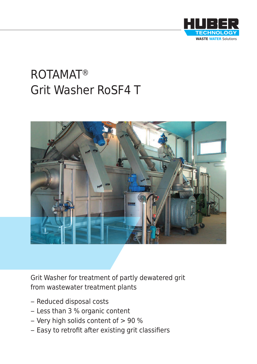

# ROTAMAT® Grit Washer RoSF4 T



Grit Washer for treatment of partly dewatered grit from wastewater treatment plants

- Reduced disposal costs
- Less than 3 % organic content
- Very high solids content of > 90 %
- Easy to retrofit after existing grit classifiers